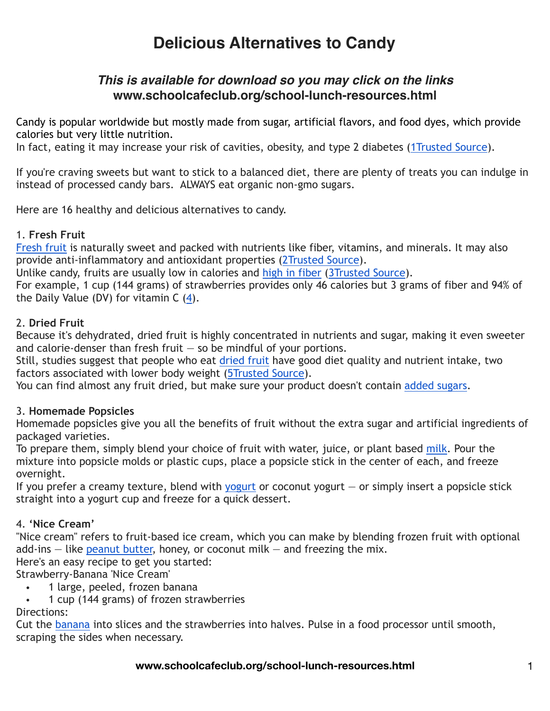## *This is available for download so you may click on the links* **www.schoolcafeclub.org/school-lunch-resources.html**

Candy is popular worldwide but mostly made from sugar, artificial flavors, and food dyes, which provide calories but very little nutrition.

In fact, eating it may increase your risk of cavities, obesity, and type 2 diabetes [\(1Trusted Source\)](https://www.ncbi.nlm.nih.gov/pubmed/31246081).

If you're craving sweets but want to stick to a balanced diet, there are plenty of treats you can indulge in instead of processed candy bars. ALWAYS eat organic non-gmo sugars.

Here are 16 healthy and delicious alternatives to candy.

#### 1. **Fresh Fruit**

[Fresh fruit](https://www.healthline.com/nutrition/20-healthiest-fruits) is naturally sweet and packed with nutrients like fiber, vitamins, and minerals. It may also provide anti-inflammatory and antioxidant properties ([2Trusted Source](https://www.ncbi.nlm.nih.gov/pmc/articles/PMC3649719/)).

Unlike candy, fruits are usually low in calories and [high in fiber](https://www.healthline.com/nutrition/22-high-fiber-foods) ([3Trusted Source\)](https://www.ncbi.nlm.nih.gov/pubmed/16321593).

For example, 1 cup (144 grams) of strawberries provides only 46 calories but 3 grams of fiber and 94% of the Daily Value (DV) for vitamin  $C(4)$  $C(4)$ .

#### 2. **Dried Fruit**

Because it's dehydrated, dried fruit is highly concentrated in nutrients and sugar, making it even sweeter and calorie-denser than fresh fruit  $-$  so be mindful of your portions.

Still, studies suggest that people who eat [dried fruit](https://www.healthline.com/nutrition/dried-fruit-good-or-bad) have good diet quality and nutrient intake, two factors associated with lower body weight [\(5Trusted Source\)](https://www.ncbi.nlm.nih.gov/pubmed/21745628).

You can find almost any fruit dried, but make sure your product doesn't contain [added sugars](https://www.healthline.com/nutrition/too-much-sugar).

## 3. **Homemade Popsicles**

Homemade popsicles give you all the benefits of fruit without the extra sugar and artificial ingredients of packaged varieties.

To prepare them, simply blend your choice of fruit with water, juice, or plant based [milk.](https://www.healthline.com/nutrition/milk-benefits) Pour the mixture into popsicle molds or plastic cups, place a popsicle stick in the center of each, and freeze overnight.

If you prefer a creamy texture, blend with [yogurt](https://www.healthline.com/nutrition/7-benefits-of-yogurt) or coconut yogurt  $-$  or simply insert a popsicle stick straight into a yogurt cup and freeze for a quick dessert.

#### 4. **'Nice Cream'**

"Nice cream" refers to fruit-based ice cream, which you can make by blending frozen fruit with optional add-ins  $-$  like [peanut butter,](https://www.healthline.com/nutrition/is-peanut-butter-bad-for-you) honey, or coconut milk  $-$  and freezing the mix.

Here's an easy recipe to get you started:

Strawberry-Banana 'Nice Cream'

- 1 large, peeled, frozen banana
- 1 cup (144 grams) of frozen strawberries

#### Directions:

Cut the [banana](https://www.healthline.com/nutrition/11-proven-benefits-of-bananas) into slices and the strawberries into halves. Pulse in a food processor until smooth, scraping the sides when necessary.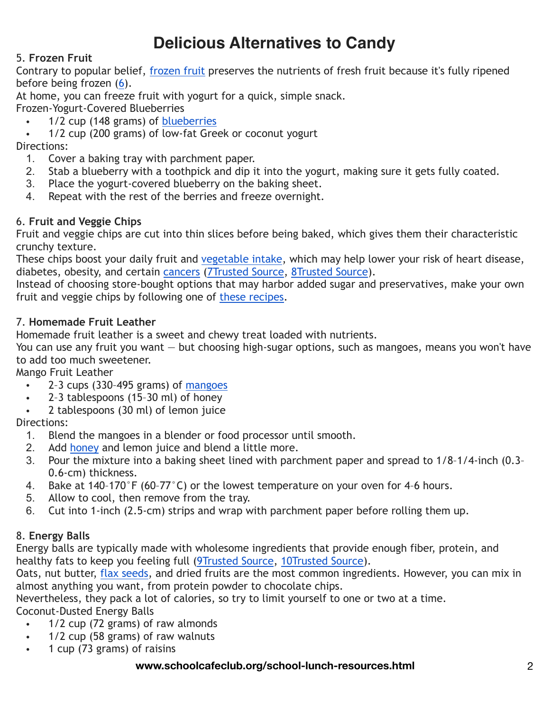## 5. **Frozen Fruit**

Contrary to popular belief, [frozen fruit](https://www.healthline.com/nutrition/fresh-vs-frozen-fruit-and-vegetables) preserves the nutrients of fresh fruit because it's fully ripened before being frozen [\(6](https://onlinelibrary.wiley.com/doi/abs/10.1002/jsfa.2825)).

At home, you can freeze fruit with yogurt for a quick, simple snack.

Frozen-Yogurt-Covered Blueberries

- 1/2 cup (148 grams) of [blueberries](https://www.healthline.com/nutrition/10-proven-benefits-of-blueberries)
- 1/2 cup (200 grams) of low-fat Greek or coconut yogurt

Directions:

- 1. Cover a baking tray with parchment paper.
- 2. Stab a blueberry with a toothpick and dip it into the yogurt, making sure it gets fully coated.
- 3. Place the yogurt-covered blueberry on the baking sheet.
- 4. Repeat with the rest of the berries and freeze overnight.

#### 6. **Fruit and Veggie Chips**

Fruit and veggie chips are cut into thin slices before being baked, which gives them their characteristic crunchy texture.

These chips boost your daily fruit and [vegetable intake](https://www.healthline.com/nutrition/servings-of-vegetables-per-day), which may help lower your risk of heart disease, diabetes, obesity, and certain [cancers](https://www.healthline.com/nutrition/cancer-and-diet) ([7Trusted Source](https://www.ncbi.nlm.nih.gov/pubmed/28338764), [8Trusted Source\)](https://www.ncbi.nlm.nih.gov/pubmed/12808858).

Instead of choosing store-bought options that may harbor added sugar and preservatives, make your own fruit and veggie chips by following one of [these recipes](https://helloglow.co/30-healthy-chip-recipes/).

#### 7. **Homemade Fruit Leather**

Homemade fruit leather is a sweet and chewy treat loaded with nutrients.

You can use any fruit you want — but choosing high-sugar options, such as mangoes, means you won't have to add too much sweetener.

Mango Fruit Leather

- 2–3 cups (330–495 grams) of [mangoes](https://www.healthline.com/nutrition/mango)
- 2–3 tablespoons (15–30 ml) of honey
- 2 tablespoons (30 ml) of lemon juice

Directions:

- 1. Blend the mangoes in a blender or food processor until smooth.
- 2. Add [honey](https://www.healthline.com/nutrition/10-benefits-of-honey) and lemon juice and blend a little more.
- 3. Pour the mixture into a baking sheet lined with parchment paper and spread to 1/8–1/4-inch (0.3– 0.6-cm) thickness.
- 4. Bake at 140–170°F (60–77°C) or the lowest temperature on your oven for 4–6 hours.
- 5. Allow to cool, then remove from the tray.
- 6. Cut into 1-inch (2.5-cm) strips and wrap with parchment paper before rolling them up.

## 8. **Energy Balls**

Energy balls are typically made with wholesome ingredients that provide enough fiber, protein, and healthy fats to keep you feeling full [\(9Trusted Source,](https://www.ncbi.nlm.nih.gov/pubmed/23885994) [10Trusted Source\)](https://www.ncbi.nlm.nih.gov/pubmed/29359954).

Oats, nut butter, [flax seeds](https://www.healthline.com/nutrition/benefits-of-flaxseeds), and dried fruits are the most common ingredients. However, you can mix in almost anything you want, from protein powder to chocolate chips.

Nevertheless, they pack a lot of calories, so try to limit yourself to one or two at a time.

Coconut-Dusted Energy Balls

- 1/2 cup (72 grams) of raw almonds
- 1/2 cup (58 grams) of raw walnuts
- 1 cup (73 grams) of raisins

#### **www.schoolcafeclub.org/school-lunch-resources.html** 2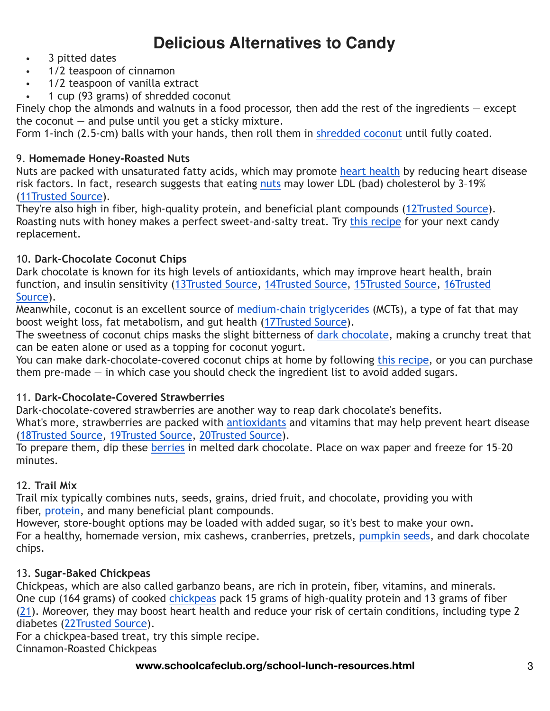- 3 pitted dates<br>•  $1/2$  teasnoon of
- 1/2 teaspoon of cinnamon
- 1/2 teaspoon of vanilla extract
- 1 cup (93 grams) of shredded coconut

Finely chop the almonds and walnuts in a food processor, then add the rest of the ingredients – except the coconut  $-$  and pulse until you get a sticky mixture.

Form 1-inch (2.5-cm) balls with your hands, then roll them in [shredded coconut](https://www.healthline.com/nutrition/coconut-meat) until fully coated.

#### 9. **Homemade Honey-Roasted Nuts**

Nuts are packed with unsaturated fatty acids, which may promote [heart health](https://www.healthline.com/nutrition/heart-healthy-foods) by reducing heart disease risk factors. In fact, research suggests that eating [nuts](https://www.healthline.com/nutrition/9-healthy-nuts) may lower LDL (bad) cholesterol by 3-19% [\(11Trusted Source](https://www.ncbi.nlm.nih.gov/pubmed/17125536)).

They're also high in fiber, high-quality protein, and beneficial plant compounds ([12Trusted Source\)](https://www.ncbi.nlm.nih.gov/pmc/articles/PMC3257681/). Roasting nuts with honey makes a perfect sweet-and-salty treat. Try [this recipe](https://www.trueaimeducation.com/homemade-honey-roasted-nuts-recipe/#_a5y_p=2851426) for your next candy replacement.

## 10. **Dark-Chocolate Coconut Chips**

Dark chocolate is known for its high levels of antioxidants, which may improve heart health, brain function, and insulin sensitivity ([13Trusted Source,](https://www.ncbi.nlm.nih.gov/pubmed/12589329) [14Trusted Source](https://www.ncbi.nlm.nih.gov/pubmed/31064163), [15Trusted Source](https://www.ncbi.nlm.nih.gov/pubmed/18827977), [16Trusted](https://www.ncbi.nlm.nih.gov/pubmed/29088075)  [Source\)](https://www.ncbi.nlm.nih.gov/pubmed/29088075).

Meanwhile, coconut is an excellent source of [medium-chain triglycerides](https://www.healthline.com/nutrition/mct-oil-101) (MCTs), a type of fat that may boost weight loss, fat metabolism, and gut health [\(17Trusted Source](https://www.ncbi.nlm.nih.gov/pmc/articles/PMC4882694/)).

The sweetness of coconut chips masks the slight bitterness of [dark chocolate](https://www.healthline.com/nutrition/7-health-benefits-dark-chocolate), making a crunchy treat that can be eaten alone or used as a topping for coconut yogurt.

You can make dark-chocolate-covered coconut chips at home by following [this recipe,](https://www.rawrevive.com/dark-chocolate-coconut-chips/) or you can purchase them pre-made  $-$  in which case you should check the ingredient list to avoid added sugars.

#### 11. **Dark-Chocolate-Covered Strawberries**

Dark-chocolate-covered strawberries are another way to reap dark chocolate's benefits.

What's more, strawberries are packed with [antioxidants](https://www.healthline.com/nutrition/foods-high-in-antioxidants) and vitamins that may help prevent heart disease [\(18Trusted Source](https://www.ncbi.nlm.nih.gov/pubmed/27778523), [19Trusted Source](https://www.ncbi.nlm.nih.gov/pubmed/29662448), [20Trusted Source\)](https://www.ncbi.nlm.nih.gov/pubmed/17492800).

To prepare them, dip these [berries](https://www.healthline.com/nutrition/11-reasons-to-eat-berries) in melted dark chocolate. Place on wax paper and freeze for 15-20 minutes.

#### 12. **Trail Mix**

Trail mix typically combines nuts, seeds, grains, dried fruit, and chocolate, providing you with fiber, [protein](https://www.healthline.com/nutrition/how-much-protein-per-day), and many beneficial plant compounds.

However, store-bought options may be loaded with added sugar, so it's best to make your own. For a healthy, homemade version, mix cashews, cranberries, pretzels, [pumpkin seeds,](https://www.healthline.com/nutrition/11-benefits-of-pumpkin-seeds) and dark chocolate chips.

## 13. **Sugar-Baked Chickpeas**

Chickpeas, which are also called garbanzo beans, are rich in protein, fiber, vitamins, and minerals. One cup (164 grams) of cooked [chickpeas](https://www.healthline.com/nutrition/chickpeas-nutrition-benefits) pack 15 grams of high-quality protein and 13 grams of fiber [\(21\)](https://fdc.nal.usda.gov/fdc-app.html#/food-details/173757/nutrients). Moreover, they may boost heart health and reduce your risk of certain conditions, including type 2 diabetes ([22Trusted Source\)](https://www.ncbi.nlm.nih.gov/pubmed/22916806).

For a chickpea-based treat, try this simple recipe. Cinnamon-Roasted Chickpeas

**www.schoolcafeclub.org/school-lunch-resources.html** 3